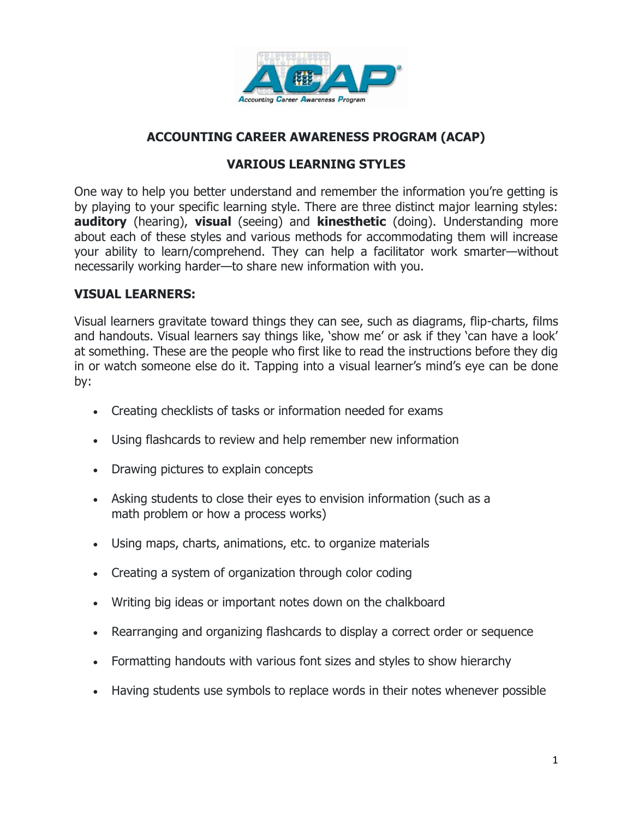

# **ACCOUNTING CAREER AWARENESS PROGRAM (ACAP)**

#### **VARIOUS LEARNING STYLES**

One way to help you better understand and remember the information you're getting is by playing to your specific learning style. There are three distinct major learning styles: **auditory** (hearing), **visual** (seeing) and **kinesthetic** (doing). Understanding more about each of these styles and various methods for accommodating them will increase your ability to learn/comprehend. They can help a facilitator work smarter—without necessarily working harder—to share new information with you.

#### **VISUAL LEARNERS:**

Visual learners gravitate toward things they can see, such as diagrams, flip-charts, films and handouts. Visual learners say things like, 'show me' or ask if they 'can have a look' at something. These are the people who first like to read the instructions before they dig in or watch someone else do it. Tapping into a visual learner's mind's eye can be done by:

- Creating checklists of tasks or information needed for exams
- Using flashcards to review and help remember new information
- Drawing pictures to explain concepts
- Asking students to close their eyes to envision information (such as a math problem or how a process works)
- Using maps, charts, animations, etc. to organize materials
- Creating a system of organization through color coding
- Writing big ideas or important notes down on the chalkboard
- Rearranging and organizing flashcards to display a correct order or sequence
- Formatting handouts with various font sizes and styles to show hierarchy
- Having students use symbols to replace words in their notes whenever possible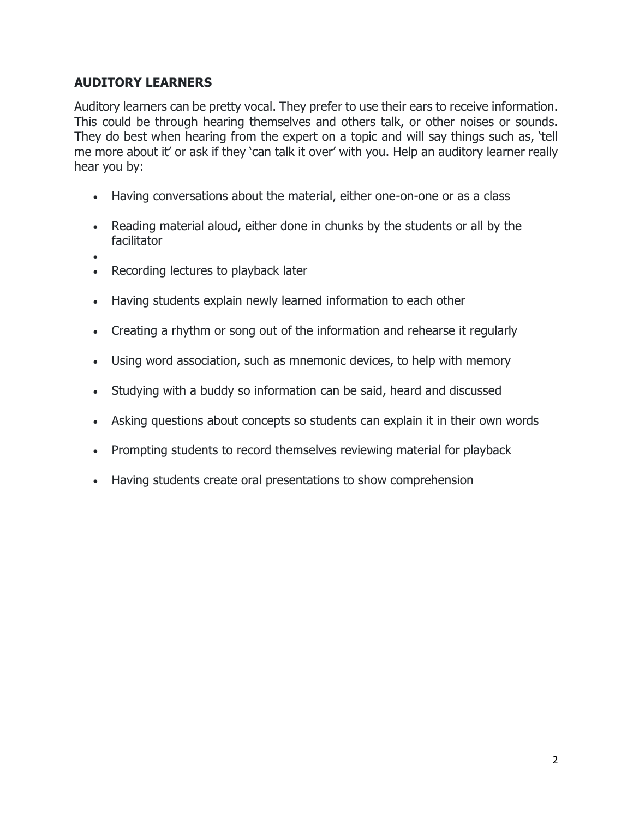## **AUDITORY LEARNERS**

Auditory learners can be pretty vocal. They prefer to use their ears to receive information. This could be through hearing themselves and others talk, or other noises or sounds. They do best when hearing from the expert on a topic and will say things such as, 'tell me more about it' or ask if they 'can talk it over' with you. Help an auditory learner really hear you by:

- Having conversations about the material, either one-on-one or as a class
- Reading material aloud, either done in chunks by the students or all by the facilitator
- •
- Recording lectures to playback later
- Having students explain newly learned information to each other
- Creating a rhythm or song out of the information and rehearse it regularly
- Using word association, such as mnemonic devices, to help with memory
- Studying with a buddy so information can be said, heard and discussed
- Asking questions about concepts so students can explain it in their own words
- Prompting students to record themselves reviewing material for playback
- Having students create oral presentations to show comprehension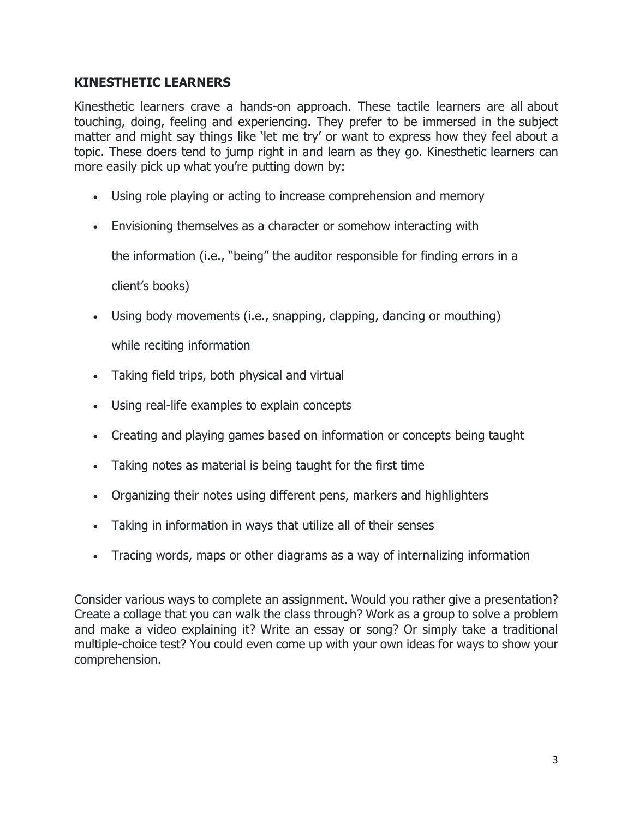### **KINESTHETIC LEARNERS**

Kinesthetic learners crave a hands-on approach. These tactile learners are all about touching, doing, feeling and experiencing. They prefer to be immersed in the subject matter and might say things like 'let me try' or want to express how they feel about a topic. These doers tend to jump right in and learn as they go. Kinesthetic learners can more easily pick up what you're putting down by:

- Using role playing or acting to increase comprehension and memory
- Envisioning themselves as a character or somehow interacting with

the information (i.e., "being" the auditor responsible for finding errors in a

client's books)

• Using body movements (i.e., snapping, clapping, dancing or mouthing)

while reciting information

- Taking field trips, both physical and virtual
- Using real-life examples to explain concepts
- Creating and playing games based on information or concepts being taught
- Taking notes as material is being taught for the first time
- Organizing their notes using different pens, markers and highlighters
- Taking in information in ways that utilize all of their senses
- Tracing words, maps or other diagrams as a way of internalizing information

Consider various ways to complete an assignment. Would you rather give a presentation? Create a collage that you can walk the class through? Work as a group to solve a problem and make a video explaining it? Write an essay or song? Or simply take a traditional multiple-choice test? You could even come up with your own ideas for ways to show your comprehension.